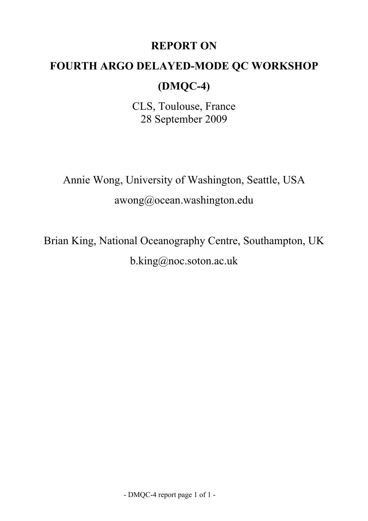## **REPORT ON**

## **FOURTH ARGO DELAYED-MODE QC WORKSHOP**

# **(DMQC-4)**

CLS, Toulouse, France 28 September 2009

Annie Wong, University of Washington, Seattle, USA awong@ocean.washington.edu

Brian King, National Oceanography Centre, Southampton, UK b.king@noc.soton.ac.uk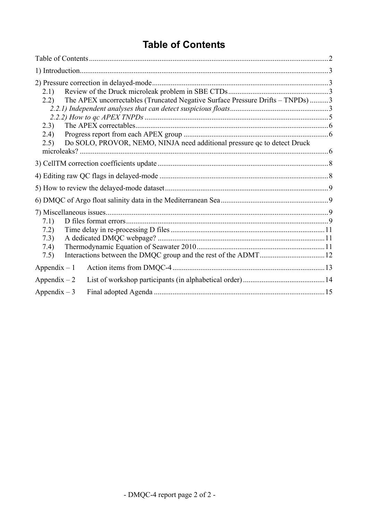# **Table of Contents**

<span id="page-1-0"></span>

| 2.1)<br>The APEX uncorrectables (Truncated Negative Surface Pressure Drifts – TNPDs) 3<br>2.2)<br>2.3)<br>(2.4)<br>Do SOLO, PROVOR, NEMO, NINJA need additional pressure qc to detect Druck<br>2.5) |  |
|-----------------------------------------------------------------------------------------------------------------------------------------------------------------------------------------------------|--|
|                                                                                                                                                                                                     |  |
|                                                                                                                                                                                                     |  |
|                                                                                                                                                                                                     |  |
|                                                                                                                                                                                                     |  |
| 7.1)<br>7.2)<br>7.3)<br>7.4)<br>7.5)                                                                                                                                                                |  |
| Appendix $-1$                                                                                                                                                                                       |  |
| Appendix $-2$                                                                                                                                                                                       |  |
| Appendix $-3$                                                                                                                                                                                       |  |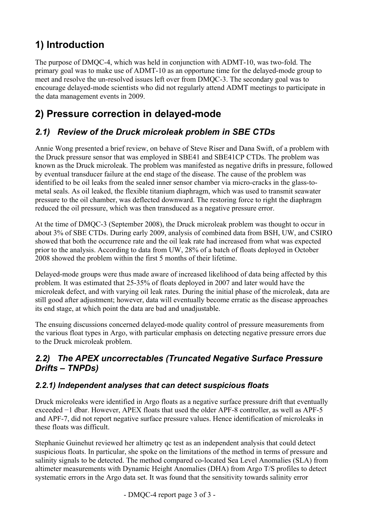# <span id="page-2-0"></span>**1) Introduction**

The purpose of DMQC-4, which was held in conjunction with ADMT-10, was two-fold. The primary goal was to make use of ADMT-10 as an opportune time for the delayed-mode group to meet and resolve the un-resolved issues left over from DMQC-3. The secondary goal was to encourage delayed-mode scientists who did not regularly attend ADMT meetings to participate in the data management events in 2009.

## **2) Pressure correction in delayed-mode**

## *2.1) Review of the Druck microleak problem in SBE CTDs*

Annie Wong presented a brief review, on behave of Steve Riser and Dana Swift, of a problem with the Druck pressure sensor that was employed in SBE41 and SBE41CP CTDs. The problem was known as the Druck microleak. The problem was manifested as negative drifts in pressure, followed by eventual transducer failure at the end stage of the disease. The cause of the problem was identified to be oil leaks from the sealed inner sensor chamber via micro-cracks in the glass-tometal seals. As oil leaked, the flexible titanium diaphragm, which was used to transmit seawater pressure to the oil chamber, was deflected downward. The restoring force to right the diaphragm reduced the oil pressure, which was then transduced as a negative pressure error.

At the time of DMQC-3 (September 2008), the Druck microleak problem was thought to occur in about 3% of SBE CTDs. During early 2009, analysis of combined data from BSH, UW, and CSIRO showed that both the occurrence rate and the oil leak rate had increased from what was expected prior to the analysis. According to data from UW, 28% of a batch of floats deployed in October 2008 showed the problem within the first 5 months of their lifetime.

Delayed-mode groups were thus made aware of increased likelihood of data being affected by this problem. It was estimated that 25-35% of floats deployed in 2007 and later would have the microleak defect, and with varying oil leak rates. During the initial phase of the microleak, data are still good after adjustment; however, data will eventually become erratic as the disease approaches its end stage, at which point the data are bad and unadjustable.

The ensuing discussions concerned delayed-mode quality control of pressure measurements from the various float types in Argo, with particular emphasis on detecting negative pressure errors due to the Druck microleak problem.

### *2.2) The APEX uncorrectables (Truncated Negative Surface Pressure Drifts – TNPDs)*

### *2.2.1) Independent analyses that can detect suspicious floats*

Druck microleaks were identified in Argo floats as a negative surface pressure drift that eventually exceeded  $-1$  dbar. However, APEX floats that used the older APF-8 controller, as well as APF-5 and APF-7, did not report negative surface pressure values. Hence identification of microleaks in these floats was difficult.

Stephanie Guinehut reviewed her altimetry qc test as an independent analysis that could detect suspicious floats. In particular, she spoke on the limitations of the method in terms of pressure and salinity signals to be detected. The method compared co-located Sea Level Anomalies (SLA) from altimeter measurements with Dynamic Height Anomalies (DHA) from Argo T/S profiles to detect systematic errors in the Argo data set. It was found that the sensitivity towards salinity error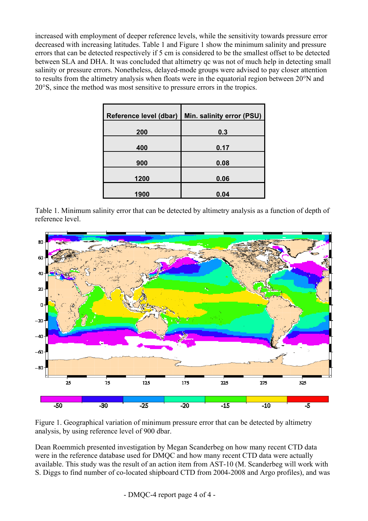increased with employment of deeper reference levels, while the sensitivity towards pressure error decreased with increasing latitudes. Table 1 and Figure 1 show the minimum salinity and pressure errors that can be detected respectively if 5 cm is considered to be the smallest offset to be detected between SLA and DHA. It was concluded that altimetry qc was not of much help in detecting small salinity or pressure errors. Nonetheless, delayed-mode groups were advised to pay closer attention to results from the altimetry analysis when floats were in the equatorial region between 20°N and 20°S, since the method was most sensitive to pressure errors in the tropics.

|      | Reference level (dbar)   Min. salinity error (PSU) |
|------|----------------------------------------------------|
| 200  | 0.3                                                |
| 400  | 0.17                                               |
| 900  | 0.08                                               |
| 1200 | 0.06                                               |
| 1900 | 0.04                                               |

Table 1. Minimum salinity error that can be detected by altimetry analysis as a function of depth of reference level.



Figure 1. Geographical variation of minimum pressure error that can be detected by altimetry analysis, by using reference level of 900 dbar.

Dean Roemmich presented investigation by Megan Scanderbeg on how many recent CTD data were in the reference database used for DMQC and how many recent CTD data were actually available. This study was the result of an action item from AST-10 (M. Scanderbeg will work with S. Diggs to find number of co-located shipboard CTD from 2004-2008 and Argo profiles), and was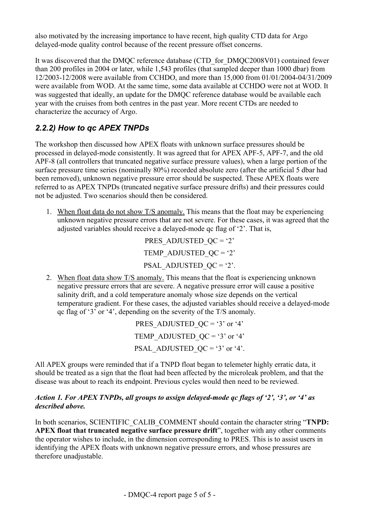<span id="page-4-0"></span>also motivated by the increasing importance to have recent, high quality CTD data for Argo delayed-mode quality control because of the recent pressure offset concerns.

It was discovered that the DMQC reference database (CTD for DMQC2008V01) contained fewer than 200 profiles in 2004 or later, while 1,543 profiles (that sampled deeper than 1000 dbar) from 12/2003-12/2008 were available from CCHDO, and more than 15,000 from 01/01/2004-04/31/2009 were available from WOD. At the same time, some data available at CCHDO were not at WOD. It was suggested that ideally, an update for the DMQC reference database would be available each year with the cruises from both centres in the past year. More recent CTDs are needed to characterize the accuracy of Argo.

### *2.2.2) How to qc APEX TNPDs*

The workshop then discussed how APEX floats with unknown surface pressures should be processed in delayed-mode consistently. It was agreed that for APEX APF-5, APF-7, and the old APF-8 (all controllers that truncated negative surface pressure values), when a large portion of the surface pressure time series (nominally 80%) recorded absolute zero (after the artificial 5 dbar had been removed), unknown negative pressure error should be suspected. These APEX floats were referred to as APEX TNPDs (truncated negative surface pressure drifts) and their pressures could not be adjusted. Two scenarios should then be considered.

1. When float data do not show T/S anomaly. This means that the float may be experiencing unknown negative pressure errors that are not severe. For these cases, it was agreed that the adjusted variables should receive a delayed-mode qc flag of '2'. That is,

> PRES\_ADJUSTED\_ $OC = '2'$ TEMP ADJUSTED  $QC = '2'$ PSAL\_ADJUSTED\_ $OC = '2'$ .

2. When float data show T/S anomaly. This means that the float is experiencing unknown negative pressure errors that are severe. A negative pressure error will cause a positive salinity drift, and a cold temperature anomaly whose size depends on the vertical temperature gradient. For these cases, the adjusted variables should receive a delayed-mode qc flag of '3' or '4', depending on the severity of the T/S anomaly.

> PRES ADJUSTED  $QC = '3'$  or '4' TEMP\_ADJUSTED\_QC = '3' or '4' PSAL\_ADJUSTED\_QC = '3' or '4'.

All APEX groups were reminded that if a TNPD float began to telemeter highly erratic data, it should be treated as a sign that the float had been affected by the microleak problem, and that the disease was about to reach its endpoint. Previous cycles would then need to be reviewed.

#### *Action 1. For APEX TNPDs, all groups to assign delayed-mode qc flags of '2', '3', or '4' as described above.*

In both scenarios, SCIENTIFIC\_CALIB\_COMMENT should contain the character string "**TNPD: APEX float that truncated negative surface pressure drift**", together with any other comments the operator wishes to include, in the dimension corresponding to PRES. This is to assist users in identifying the APEX floats with unknown negative pressure errors, and whose pressures are therefore unadjustable.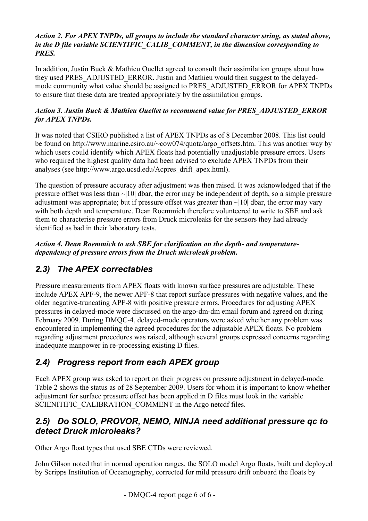#### <span id="page-5-0"></span>*Action 2. For APEX TNPDs, all groups to include the standard character string, as stated above, in the D file variable SCIENTIFIC\_CALIB\_COMMENT, in the dimension corresponding to PRES.*

In addition, Justin Buck & Mathieu Ouellet agreed to consult their assimilation groups about how they used PRES\_ADJUSTED\_ERROR. Justin and Mathieu would then suggest to the delayedmode community what value should be assigned to PRES\_ADJUSTED\_ERROR for APEX TNPDs to ensure that these data are treated appropriately by the assimilation groups.

#### *Action 3. Justin Buck & Mathieu Ouellet to recommend value for PRES\_ADJUSTED\_ERROR for APEX TNPDs.*

It was noted that CSIRO published a list of APEX TNPDs as of 8 December 2008. This list could be found on http://www.marine.csiro.au/~cow074/quota/argo\_offsets.htm. This was another way by which users could identify which APEX floats had potentially unadjustable pressure errors. Users who required the highest quality data had been advised to exclude APEX TNPDs from their analyses (see http://www.argo.ucsd.edu/Acpres\_drift\_apex.html).

The question of pressure accuracy after adjustment was then raised. It was acknowledged that if the pressure offset was less than ~|10| dbar, the error may be independent of depth, so a simple pressure adjustment was appropriate; but if pressure offset was greater than  $\sim$ [10] dbar, the error may vary with both depth and temperature. Dean Roemmich therefore volunteered to write to SBE and ask them to characterise pressure errors from Druck microleaks for the sensors they had already identified as bad in their laboratory tests.

#### *Action 4. Dean Roemmich to ask SBE for clarification on the depth- and temperaturedependency of pressure errors from the Druck microleak problem.*

### *2.3) The APEX correctables*

Pressure measurements from APEX floats with known surface pressures are adjustable. These include APEX APF-9, the newer APF-8 that report surface pressures with negative values, and the older negative-truncating APF-8 with positive pressure errors. Procedures for adjusting APEX pressures in delayed-mode were discussed on the [argo-dm-dm](mailto:argo-dm-dm@jcommops.org) email forum and agreed on during February 2009. During DMQC-4, delayed-mode operators were asked whether any problem was encountered in implementing the agreed procedures for the adjustable APEX floats. No problem regarding adjustment procedures was raised, although several groups expressed concerns regarding inadequate manpower in re-processing existing D files.

### *2.4) Progress report from each APEX group*

Each APEX group was asked to report on their progress on pressure adjustment in delayed-mode. Table 2 shows the status as of 28 September 2009. Users for whom it is important to know whether adjustment for surface pressure offset has been applied in D files must look in the variable SCIENITIFIC\_CALIBRATION\_COMMENT in the Argo netcdf files.

### *2.5) Do SOLO, PROVOR, NEMO, NINJA need additional pressure qc to detect Druck microleaks?*

Other Argo float types that used SBE CTDs were reviewed.

John Gilson noted that in normal operation ranges, the SOLO model Argo floats, built and deployed by Scripps Institution of Oceanography, corrected for mild pressure drift onboard the floats by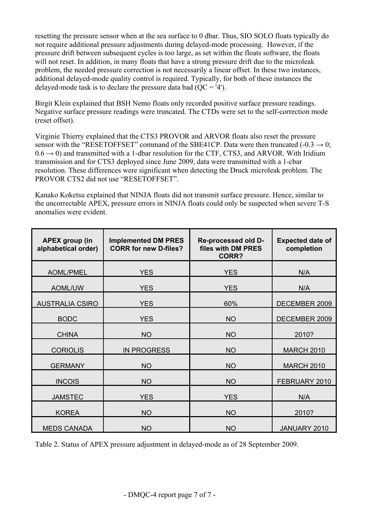resetting the pressure sensor when at the sea surface to 0 dbar. Thus, SIO SOLO floats typically do not require additional pressure adjustments during delayed-mode processing. However, if the pressure drift between subsequent cycles is too large, as set within the floats software, the floats will not reset. In addition, in many floats that have a strong pressure drift due to the microleak problem, the needed pressure correction is not necessarily a linear offset. In these two instances, additional delayed-mode quality control is required. Typically, for both of these instances the delayed-mode task is to declare the pressure data bad  $(OC = '4')$ .

Birgit Klein explained that BSH Nemo floats only recorded positive surface pressure readings. Negative surface pressure readings were truncated. The CTDs were set to the self-correction mode (reset offset).

Virginie Thierry explained that the CTS3 PROVOR and ARVOR floats also reset the pressure sensor with the "RESETOFFSET" command of the SBE41CP. Data were then truncated  $(-0.3 \rightarrow 0;$  $0.6 \rightarrow 0$ ) and transmitted with a 1-dbar resolution for the CTF, CTS3, and ARVOR. With Iridium transmission and for CTS3 deployed since June 2009, data were transmitted with a 1-cbar resolution. These differences were significant when detecting the Druck microleak problem. The PROVOR CTS2 did not use "RESETOFFSET".

Kanako Koketsu explained that NINJA floats did not transmit surface pressure. Hence, similar to the uncorrectable APEX, pressure errors in NINJA floats could only be suspected when severe T-S anomalies were evident.

| <b>APEX group (in</b><br>alphabetical order) | <b>Implemented DM PRES</b><br><b>CORR for new D-files?</b> | Re-processed old D-<br>files with DM PRES<br><b>CORR?</b> | <b>Expected date of</b><br>completion |
|----------------------------------------------|------------------------------------------------------------|-----------------------------------------------------------|---------------------------------------|
| <b>AOML/PMEL</b>                             | <b>YES</b>                                                 | <b>YES</b>                                                | N/A                                   |
| <b>AOML/UW</b>                               | <b>YES</b>                                                 | <b>YES</b>                                                | N/A                                   |
| <b>AUSTRALIA CSIRO</b>                       | <b>YES</b>                                                 | 60%                                                       | DECEMBER 2009                         |
| <b>BODC</b>                                  | <b>YES</b>                                                 | <b>NO</b>                                                 | DECEMBER 2009                         |
| <b>CHINA</b>                                 | <b>NO</b>                                                  | <b>NO</b>                                                 | 2010?                                 |
| <b>CORIOLIS</b>                              | <b>IN PROGRESS</b>                                         | <b>NO</b>                                                 | <b>MARCH 2010</b>                     |
| <b>GERMANY</b>                               | <b>NO</b>                                                  | <b>NO</b>                                                 | <b>MARCH 2010</b>                     |
| <b>INCOIS</b>                                | <b>NO</b>                                                  | <b>NO</b>                                                 | FEBRUARY 2010                         |
| <b>JAMSTEC</b>                               | <b>YES</b>                                                 | <b>YES</b>                                                | N/A                                   |
| <b>KOREA</b>                                 | <b>NO</b>                                                  | <b>NO</b>                                                 | 2010?                                 |
| <b>MEDS CANADA</b>                           | <b>NO</b>                                                  | <b>NO</b>                                                 | JANUARY 2010                          |

Table 2. Status of APEX pressure adjustment in delayed-mode as of 28 September 2009.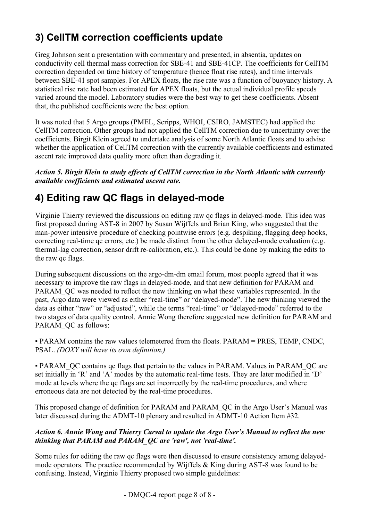## <span id="page-7-0"></span>**3) CellTM correction coefficients update**

Greg Johnson sent a presentation with commentary and presented, in absentia, updates on conductivity cell thermal mass correction for SBE-41 and SBE-41CP. The coefficients for CellTM correction depended on time history of temperature (hence float rise rates), and time intervals between SBE-41 spot samples. For APEX floats, the rise rate was a function of buoyancy history. A statistical rise rate had been estimated for APEX floats, but the actual individual profile speeds varied around the model. Laboratory studies were the best way to get these coefficients. Absent that, the published coefficients were the best option.

It was noted that 5 Argo groups (PMEL, Scripps, WHOI, CSIRO, JAMSTEC) had applied the CellTM correction. Other groups had not applied the CellTM correction due to uncertainty over the coefficients. Birgit Klein agreed to undertake analysis of some North Atlantic floats and to advise whether the application of CellTM correction with the currently available coefficients and estimated ascent rate improved data quality more often than degrading it.

*Action 5. Birgit Klein to study effects of CellTM correction in the North Atlantic with currently available coefficients and estimated ascent rate.* 

# **4) Editing raw QC flags in delayed-mode**

Virginie Thierry reviewed the discussions on editing raw qc flags in delayed-mode. This idea was first proposed during AST-8 in 2007 by Susan Wijffels and Brian King, who suggested that the man-power intensive procedure of checking pointwise errors (e.g. despiking, flagging deep hooks, correcting real-time qc errors, etc.) be made distinct from the other delayed-mode evaluation (e.g. thermal-lag correction, sensor drift re-calibration, etc.). This could be done by making the edits to the raw qc flags.

During subsequent discussions on the [argo-dm-dm](mailto:argo-dm-dm@jcommops.org) email forum, most people agreed that it was necessary to improve the raw flags in delayed-mode, and that new definition for PARAM and PARAM OC was needed to reflect the new thinking on what these variables represented. In the past, Argo data were viewed as either "real-time" or "delayed-mode". The new thinking viewed the data as either "raw" or "adjusted", while the terms "real-time" or "delayed-mode" referred to the two stages of data quality control. Annie Wong therefore suggested new definition for PARAM and PARAM\_OC as follows:

# PARAM contains the raw values telemetered from the floats. PARAM = PRES, TEMP, CNDC, PSAL. *(DOXY will have its own definition.)*

# PARAM\_QC contains qc flags that pertain to the values in PARAM. Values in PARAM\_QC are set initially in 'R' and 'A' modes by the automatic real-time tests. They are later modified in 'D' mode at levels where the qc flags are set incorrectly by the real-time procedures, and where erroneous data are not detected by the real-time procedures.

This proposed change of definition for PARAM and PARAM\_QC in the Argo User's Manual was later discussed during the ADMT-10 plenary and resulted in ADMT-10 Action Item #32.

#### *Action 6. Annie Wong and Thierry Carval to update the Argo User's Manual to reflect the new thinking that PARAM and PARAM\_QC are 'raw', not 'real-time'.*

Some rules for editing the raw qc flags were then discussed to ensure consistency among delayedmode operators. The practice recommended by Wijffels & King during AST-8 was found to be confusing. Instead, Virginie Thierry proposed two simple guidelines: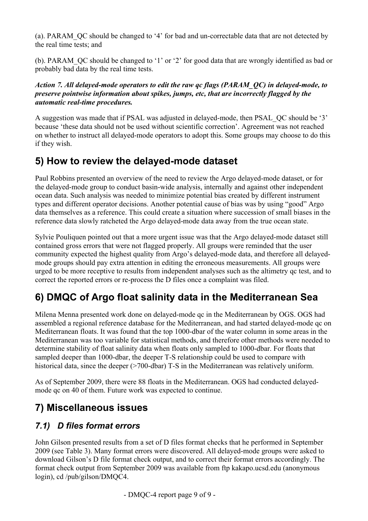<span id="page-8-0"></span>(a). PARAM\_QC should be changed to '4' for bad and un-correctable data that are not detected by the real time tests; and

(b). PARAM\_QC should be changed to '1' or '2' for good data that are wrongly identified as bad or probably bad data by the real time tests.

*Action 7. All delayed-mode operators to edit the raw qc flags (PARAM\_QC) in delayed-mode, to preserve pointwise information about spikes, jumps, etc, that are incorrectly flagged by the automatic real-time procedures.* 

A suggestion was made that if PSAL was adjusted in delayed-mode, then PSAL\_QC should be '3' because 'these data should not be used without scientific correction'. Agreement was not reached on whether to instruct all delayed-mode operators to adopt this. Some groups may choose to do this if they wish.

## **5) How to review the delayed-mode dataset**

Paul Robbins presented an overview of the need to review the Argo delayed-mode dataset, or for the delayed-mode group to conduct basin-wide analysis, internally and against other independent ocean data. Such analysis was needed to minimize potential bias created by different instrument types and different operator decisions. Another potential cause of bias was by using "good" Argo data themselves as a reference. This could create a situation where succession of small biases in the reference data slowly ratcheted the Argo delayed-mode data away from the true ocean state.

Sylvie Pouliquen pointed out that a more urgent issue was that the Argo delayed-mode dataset still contained gross errors that were not flagged properly. All groups were reminded that the user community expected the highest quality from Argo's delayed-mode data, and therefore all delayedmode groups should pay extra attention in editing the erroneous measurements. All groups were urged to be more receptive to results from independent analyses such as the altimetry qc test, and to correct the reported errors or re-process the D files once a complaint was filed.

## **6) DMQC of Argo float salinity data in the Mediterranean Sea**

Milena Menna presented work done on delayed-mode qc in the Mediterranean by OGS. OGS had assembled a regional reference database for the Mediterranean, and had started delayed-mode qc on Mediterranean floats. It was found that the top 1000-dbar of the water column in some areas in the Mediterranean was too variable for statistical methods, and therefore other methods were needed to determine stability of float salinity data when floats only sampled to 1000-dbar. For floats that sampled deeper than 1000-dbar, the deeper T-S relationship could be used to compare with historical data, since the deeper (>700-dbar) T-S in the Mediterranean was relatively uniform.

As of September 2009, there were 88 floats in the Mediterranean. OGS had conducted delayedmode qc on 40 of them. Future work was expected to continue.

## **7) Miscellaneous issues**

### *7.1) D files format errors*

John Gilson presented results from a set of D files format checks that he performed in September 2009 (see Table 3). Many format errors were discovered. All delayed-mode groups were asked to download Gilson's D file format check output, and to correct their format errors accordingly. The format check output from September 2009 was available from ftp kakapo.ucsd.edu (anonymous login), cd /pub/gilson/DMQC4.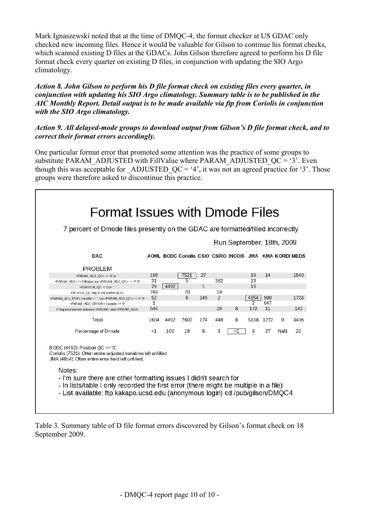Mark Ignaszewski noted that at the time of DMQC-4, the format checker at US GDAC only checked new incoming files. Hence it would be valuable for Gilson to continue his format checks, which scanned existing D files at the GDACs. John Gilson therefore agreed to perform his D file format check every quarter on existing D files, in conjunction with updating the SIO Argo climatology.

#### *Action 8. John Gilson to perform his D file format check on existing files every quarter, in conjunction with updating his SIO Argo climatology. Summary table is to be published in the AIC Monthly Report. Detail output is to be made available via ftp from Coriolis in conjunction with the SIO Argo climatology.*

#### *Action 9. All delayed-mode groups to download output from Gilson's D file format check, and to correct their format errors accordingly.*

One particular format error that promoted some attention was the practice of some groups to substitute PARAM\_ADJUSTED with FillValue where PARAM\_ADJUSTED\_QC = '3'. Even though this was acceptable for ADJUSTED  $QC = '4'$ , it was not an agreed practice for '3'. Those groups were therefore asked to discontinue this practice.

|                                                                                                                                                                                                                                                                                                                                                                                                                    | 7 percent of Dmode files presently on the GDAC are formatted/filled incorrectly<br>Run September, 18th, 2009 |      |                                                         |              |     |    |               |           |     |      |
|--------------------------------------------------------------------------------------------------------------------------------------------------------------------------------------------------------------------------------------------------------------------------------------------------------------------------------------------------------------------------------------------------------------------|--------------------------------------------------------------------------------------------------------------|------|---------------------------------------------------------|--------------|-----|----|---------------|-----------|-----|------|
| <b>DAC</b>                                                                                                                                                                                                                                                                                                                                                                                                         |                                                                                                              |      | AOML BODC Coriolis CSIO CSIRO INCOIS JMA KMA KORDI MEDS |              |     |    |               |           |     |      |
| <b>PROBLEM</b>                                                                                                                                                                                                                                                                                                                                                                                                     |                                                                                                              |      |                                                         |              |     |    |               |           |     |      |
| <param adj="" oc=""/> == '0' or ''                                                                                                                                                                                                                                                                                                                                                                                 | 196                                                                                                          |      | 7521                                                    | 27           |     |    | 39            | 14        |     | 1540 |
| <param adj=""/> == FillValue but <param adj="" qc=""/> ~= '4','9'                                                                                                                                                                                                                                                                                                                                                  | 31                                                                                                           |      | 5                                                       |              | 382 |    | 23            |           |     |      |
| POSITION OC == 0 or "                                                                                                                                                                                                                                                                                                                                                                                              | 29                                                                                                           | 4492 |                                                         | $\mathbf{1}$ |     |    | 18            |           |     |      |
| PROFILE_QC flag is not a letter (A-F)                                                                                                                                                                                                                                                                                                                                                                              | 748                                                                                                          |      | 70                                                      |              | 59  |    |               |           |     |      |
| <param_adj_err> variable =", but <param_adj_qc> ~= '4','9'</param_adj_qc></param_adj_err>                                                                                                                                                                                                                                                                                                                          | 52                                                                                                           |      | 6                                                       | 146          | 2   |    | 4854          | 600       |     | 1723 |
| <param_adj_error> variable == '0'</param_adj_error>                                                                                                                                                                                                                                                                                                                                                                | 1                                                                                                            |      |                                                         |              |     |    | $\mathcal{P}$ | 647       |     |      |
| 9' flag inconsistent between <param/> and <param adj=""/>                                                                                                                                                                                                                                                                                                                                                          | 546                                                                                                          |      |                                                         |              | 29  | 8  | 172           | 11        |     | 143  |
| Total                                                                                                                                                                                                                                                                                                                                                                                                              | 1604                                                                                                         | 4492 | 7602                                                    | 174          | 448 | 8  |               | 5108 1272 | 0   | 3406 |
| Percentage of Dmode                                                                                                                                                                                                                                                                                                                                                                                                | $<$ 1                                                                                                        | 100  | 18                                                      | 6            | 3   | <1 | 9             | 27        | NaN | 22   |
| BODC $(4492)$ : Position OC == '0':<br>Coriolis (7521): Often entire adjusted variables left unfilled<br>JMA (4854): Often entire error field left unfilled;<br>Notes:<br>- I'm sure there are other formatting issues I didn't search for<br>- In lists/table I only recorded the first error (there might be multiple in a file)<br>- List available: ftp kakapo.ucsd.edu (anonymous login) cd /pub/gilson/DMQC4 |                                                                                                              |      |                                                         |              |     |    |               |           |     |      |

Table 3. Summary table of D file format errors discovered by Gilson's format check on 18 September 2009.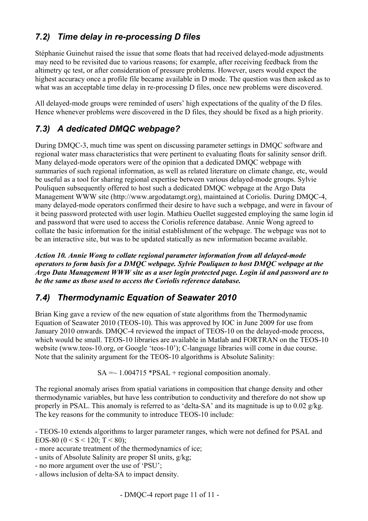## <span id="page-10-0"></span>*7.2) Time delay in re-processing D files*

Stéphanie Guinehut raised the issue that some floats that had received delayed-mode adjustments may need to be revisited due to various reasons; for example, after receiving feedback from the altimetry qc test, or after consideration of pressure problems. However, users would expect the highest accuracy once a profile file became available in D mode. The question was then asked as to what was an acceptable time delay in re-processing D files, once new problems were discovered.

All delayed-mode groups were reminded of users' high expectations of the quality of the D files. Hence whenever problems were discovered in the D files, they should be fixed as a high priority.

### *7.3) A dedicated DMQC webpage?*

During DMQC-3, much time was spent on discussing parameter settings in DMQC software and regional water mass characteristics that were pertinent to evaluating floats for salinity sensor drift. Many delayed-mode operators were of the opinion that a dedicated DMQC webpage with summaries of such regional information, as well as related literature on climate change, etc, would be useful as a tool for sharing regional expertise between various delayed-mode groups. Sylvie Pouliquen subsequently offered to host such a dedicated DMQC webpage at the Argo Data Management WWW site ([http://www.argodatamgt.org\)](http://www.argodatamgt.org/), maintained at Coriolis. During DMQC-4, many delayed-mode operators confirmed their desire to have such a webpage, and were in favour of it being password protected with user login. Mathieu Ouellet suggested employing the same login id and password that were used to access the Coriolis reference database. Annie Wong agreed to collate the basic information for the initial establishment of the webpage. The webpage was not to be an interactive site, but was to be updated statically as new information became available.

*Action 10. Annie Wong to collate regional parameter information from all delayed-mode operators to form basis for a DMQC webpage. Sylvie Pouliquen to host DMQC webpage at the Argo Data Management WWW site as a user login protected page. Login id and password are to be the same as those used to access the Coriolis reference database.* 

### *7.4) Thermodynamic Equation of Seawater 2010*

Brian King gave a review of the new equation of state algorithms from the Thermodynamic Equation of Seawater 2010 (TEOS-10). This was approved by IOC in June 2009 for use from January 2010 onwards. DMQC-4 reviewed the impact of TEOS-10 on the delayed-mode process, which would be small. TEOS-10 libraries are available in Matlab and FORTRAN on the TEOS-10 website (www.teos-10.org, or Google 'teos-10'); C-language libraries will come in due course. Note that the salinity argument for the TEOS-10 algorithms is Absolute Salinity:

 $SA = \sim 1.004715$  \*PSAL + regional composition anomaly.

The regional anomaly arises from spatial variations in composition that change density and other thermodynamic variables, but have less contribution to conductivity and therefore do not show up properly in PSAL. This anomaly is referred to as 'delta-SA' and its magnitude is up to 0.02 g/kg. The key reasons for the community to introduce TEOS-10 include:

- TEOS-10 extends algorithms to larger parameter ranges, which were not defined for PSAL and EOS-80 ( $0 < S < 120$ ; T  $< 80$ );

- more accurate treatment of the thermodynamics of ice;
- units of Absolute Salinity are proper SI units, g/kg;
- no more argument over the use of 'PSU';
- allows inclusion of delta-SA to impact density.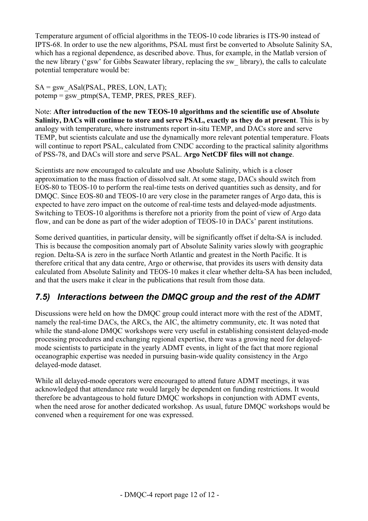<span id="page-11-0"></span>Temperature argument of official algorithms in the TEOS-10 code libraries is ITS-90 instead of IPTS-68. In order to use the new algorithms, PSAL must first be converted to Absolute Salinity SA, which has a regional dependence, as described above. Thus, for example, in the Matlab version of the new library ('gsw' for Gibbs Seawater library, replacing the sw\_ library), the calls to calculate potential temperature would be:

 $SA = gsw$  ASal(PSAL, PRES, LON, LAT); potemp = gsw\_ptmp(SA, TEMP, PRES, PRES\_REF).

Note: **After introduction of the new TEOS-10 algorithms and the scientific use of Absolute Salinity, DACs will continue to store and serve PSAL, exactly as they do at present**. This is by analogy with temperature, where instruments report in-situ TEMP, and DACs store and serve TEMP, but scientists calculate and use the dynamically more relevant potential temperature. Floats will continue to report PSAL, calculated from CNDC according to the practical salinity algorithms of PSS-78, and DACs will store and serve PSAL. **Argo NetCDF files will not change**.

Scientists are now encouraged to calculate and use Absolute Salinity, which is a closer approximation to the mass fraction of dissolved salt. At some stage, DACs should switch from EOS-80 to TEOS-10 to perform the real-time tests on derived quantities such as density, and for DMQC. Since EOS-80 and TEOS-10 are very close in the parameter ranges of Argo data, this is expected to have zero impact on the outcome of real-time tests and delayed-mode adjustments. Switching to TEOS-10 algorithms is therefore not a priority from the point of view of Argo data flow, and can be done as part of the wider adoption of TEOS-10 in DACs' parent institutions.

Some derived quantities, in particular density, will be significantly offset if delta-SA is included. This is because the composition anomaly part of Absolute Salinity varies slowly with geographic region. Delta-SA is zero in the surface North Atlantic and greatest in the North Pacific. It is therefore critical that any data centre, Argo or otherwise, that provides its users with density data calculated from Absolute Salinity and TEOS-10 makes it clear whether delta-SA has been included, and that the users make it clear in the publications that result from those data.

### *7.5) Interactions between the DMQC group and the rest of the ADMT*

Discussions were held on how the DMQC group could interact more with the rest of the ADMT, namely the real-time DACs, the ARCs, the AIC, the altimetry community, etc. It was noted that while the stand-alone DMOC workshops were very useful in establishing consistent delayed-mode processing procedures and exchanging regional expertise, there was a growing need for delayedmode scientists to participate in the yearly ADMT events, in light of the fact that more regional oceanographic expertise was needed in pursuing basin-wide quality consistency in the Argo delayed-mode dataset.

While all delayed-mode operators were encouraged to attend future ADMT meetings, it was acknowledged that attendance rate would largely be dependent on funding restrictions. It would therefore be advantageous to hold future DMQC workshops in conjunction with ADMT events, when the need arose for another dedicated workshop. As usual, future DMQC workshops would be convened when a requirement for one was expressed.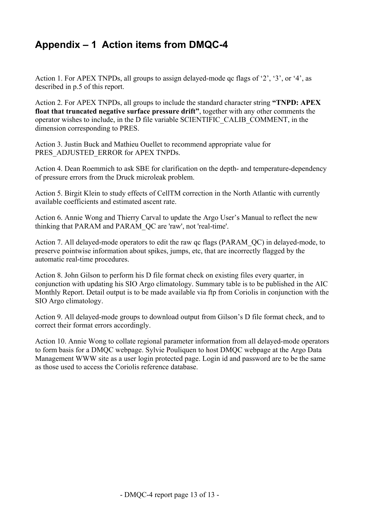## <span id="page-12-0"></span>**Appendix – 1 Action items from DMQC-4**

Action 1. For APEX TNPDs, all groups to assign delayed-mode qc flags of '2', '3', or '4', as described in p.5 of this report.

Action 2. For APEX TNPDs, all groups to include the standard character string **"TNPD: APEX float that truncated negative surface pressure drift"**, together with any other comments the operator wishes to include, in the D file variable SCIENTIFIC\_CALIB\_COMMENT, in the dimension corresponding to PRES.

Action 3. Justin Buck and Mathieu Ouellet to recommend appropriate value for PRES\_ADJUSTED\_ERROR for APEX TNPDs.

Action 4. Dean Roemmich to ask SBE for clarification on the depth- and temperature-dependency of pressure errors from the Druck microleak problem.

Action 5. Birgit Klein to study effects of CellTM correction in the North Atlantic with currently available coefficients and estimated ascent rate.

Action 6. Annie Wong and Thierry Carval to update the Argo User's Manual to reflect the new thinking that PARAM and PARAM\_QC are 'raw', not 'real-time'.

Action 7. All delayed-mode operators to edit the raw qc flags (PARAM\_QC) in delayed-mode, to preserve pointwise information about spikes, jumps, etc, that are incorrectly flagged by the automatic real-time procedures.

Action 8. John Gilson to perform his D file format check on existing files every quarter, in conjunction with updating his SIO Argo climatology. Summary table is to be published in the AIC Monthly Report. Detail output is to be made available via ftp from Coriolis in conjunction with the SIO Argo climatology.

Action 9. All delayed-mode groups to download output from Gilson's D file format check, and to correct their format errors accordingly.

Action 10. Annie Wong to collate regional parameter information from all delayed-mode operators to form basis for a DMQC webpage. Sylvie Pouliquen to host DMQC webpage at the Argo Data Management WWW site as a user login protected page. Login id and password are to be the same as those used to access the Coriolis reference database.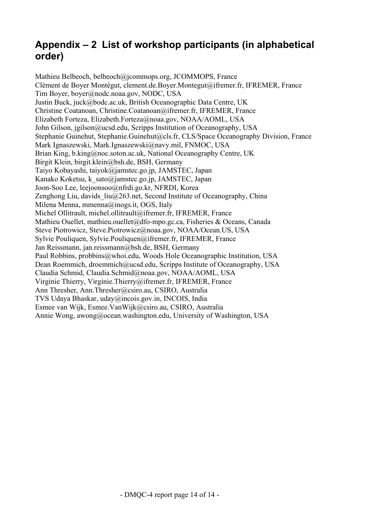## <span id="page-13-0"></span>**Appendix – 2 List of workshop participants (in alphabetical order)**

Mathieu Belbeoch, [belbeoch@jcommops.org](mailto:belbeoch@jcommops.org), JCOMMOPS, France Clément de Boyer Montégut, [clement.de.Boyer.Montegut@ifremer.fr](mailto:clement.de.Boyer.Montegut@ifremer.fr), IFREMER, France Tim Boyer, [boyer@nodc.noaa.gov](mailto:boyer@nodc.noaa.gov), NODC, USA Justin Buck, juck@bodc.ac.uk, British Oceanographic Data Centre, UK Christine Coatanoan, Christine.Coatanoan@ifremer.fr, IFREMER, France Elizabeth Forteza, Elizabeth.Forteza@noaa.gov, NOAA/AOML, USA John Gilson, jgilson@ucsd.edu, Scripps Institution of Oceanography, USA Stephanie Guinehut, Stephanie.Guinehut@cls.fr, CLS/Space Oceanography Division, France Mark Ignaszewski, [Mark.Ignaszewski@navy.mil,](mailto:Mark.Ignaszewski@navy.mil) FNMOC, USA Brian King, b.king@noc.soton.ac.uk, National Oceanography Centre, UK Birgit Klein, birgit.klein@bsh.de, BSH, Germany Taiyo Kobayashi, taiyok@jamstec.go.jp, JAMSTEC, Japan Kanako Koketsu, [k\\_sato@jamstec.go.jp](mailto:k_sato@jamstec.go.jp), JAMSTEC, Japan Joon-Soo Lee, [leejoonsoo@nfrdi.go.kr](mailto:leejoonsoo@nfrdi.go.kr), NFRDI, Korea Zenghong Liu, davids  $liu(a)$ 263.net, Second Institute of Oceanography, China Milena Menna, [mmenna@inogs.it](mailto:mmenna@inogs.it), OGS, Italy Michel Ollitrault, [michel.ollitrault@ifremer.fr,](mailto:michel.ollitrault@ifremer.fr) IFREMER, France Mathieu Ouellet, mathieu.ouellet@dfo-mpo.gc.ca, Fisheries & Oceans, Canada Steve Piotrowicz, Steve.Piotrowicz@noaa.gov, NOAA/Ocean.US, USA Sylvie Pouliquen, [Sylvie.Pouliquen@ifremer.fr,](mailto:Sylvie.Pouliquen@ifremer.fr) IFREMER, France Jan Reissmann, [jan.reissmann@bsh.de,](mailto:jan.reissmann@bsh.de) BSH, Germany Paul Robbins, probbins@whoi.edu, Woods Hole Oceanographic Institution, USA Dean Roemmich, [droemmich@ucsd.edu,](mailto:droemmich@ucsd.edu) Scripps Institute of Oceanography, USA Claudia Schmid, [Claudia.Schmid@noaa.gov](mailto:Claudia.Schmid@noaa.gov), NOAA/AOML, USA Virginie Thierry, [Virginie.Thierry@ifremer.fr,](mailto:Virginie.Thierry@ifremer.fr) IFREMER, France Ann Thresher, [Ann.Thresher@csiro.au](mailto:Ann.Thresher@csiro.au), CSIRO, Australia TVS Udaya Bhaskar, [uday@incois.gov.in](mailto:uday@incois.gov.in), INCOIS, India Esmee van Wijk, Esmee.VanWijk@csiro.au, CSIRO, Australia Annie Wong, awong@ocean.washington.edu, University of Washington, USA